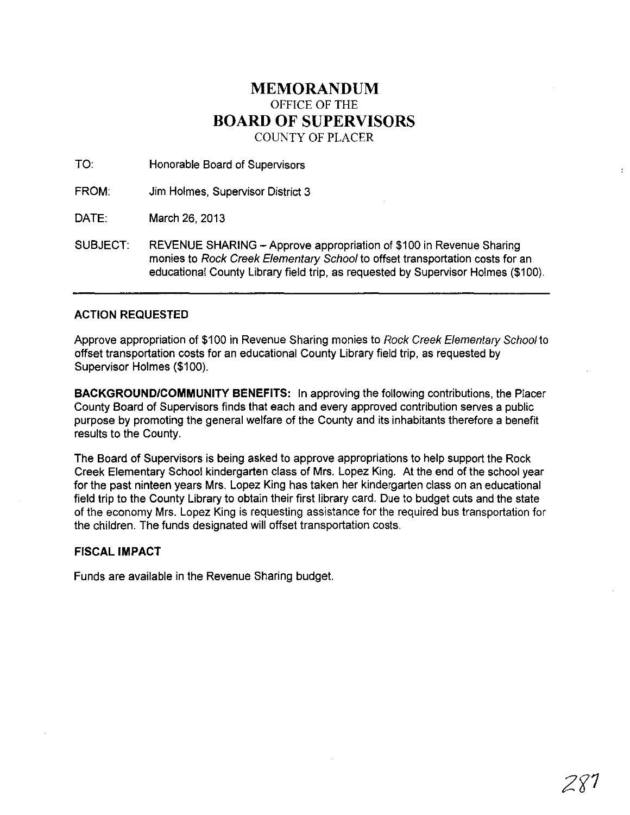## MEMORANDUM OFFICE OF THE BOARD OF SUPERVISORS COUNTY OF PLACER

TO: Honorable Board of Supervisors

FROM: Jim Holmes, Supervisor District 3

DATE: March 26, 2013

SUBJECT: REVENUE SHARING - Approve appropriation of \$100 in Revenue Sharing monies to Rock Creek Elementary School to offset transportation costs for an educational County Library field trip, as requested by Supervisor Holmes (\$100).

## ACTION REQUESTED

Approve appropriation of \$100 in Revenue Sharing monies to Rock Creek Elementary School to offset transportation costs for an educational County Library field trip, as requested by Supervisor Holmes (\$100).

BACKGROUNDICOMMUNITY BENEFITS: In approving the following contributions, the Placer County Board of Supervisors finds that each and every approved contribution serves a public purpose by promoting the general welfare of the County and its inhabitants therefore a benefit results to the County.

The Board of Supervisors is being asked to approve appropriations to help support the Rock Creek Elementary School kindergarten class of Mrs. Lopez King. At the end of the school year for the past ninteen years Mrs. Lopez King has taken her kindergarten class on an educational field trip to the County Library to obtain their first library card. Due to budget cuts and the state of the economy Mrs. Lopez King is requesting assistance for the required bus transportation for the children. The funds designated will offset transportation costs.

## FISCAL IMPACT

Funds are available in the Revenue Sharing budget.